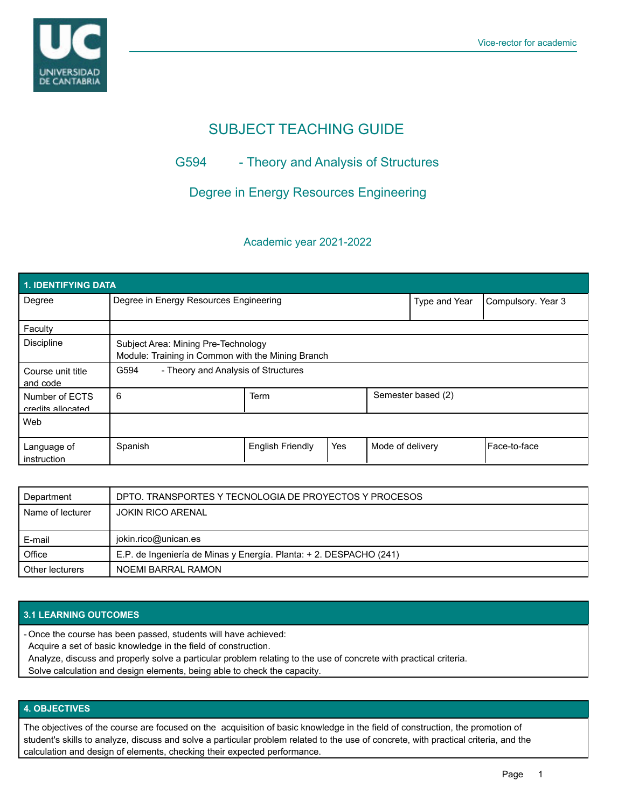

# SUBJECT TEACHING GUIDE

## G594 - Theory and Analysis of Structures

## Degree in Energy Resources Engineering

### Academic year 2021-2022

| 1. IDENTIFYING DATA                 |                                                                                          |                                     |               |                    |  |                |
|-------------------------------------|------------------------------------------------------------------------------------------|-------------------------------------|---------------|--------------------|--|----------------|
| Degree                              | Degree in Energy Resources Engineering                                                   |                                     | Type and Year | Compulsory. Year 3 |  |                |
| Faculty                             |                                                                                          |                                     |               |                    |  |                |
| <b>Discipline</b>                   | Subject Area: Mining Pre-Technology<br>Module: Training in Common with the Mining Branch |                                     |               |                    |  |                |
| Course unit title<br>and code       | G594                                                                                     | - Theory and Analysis of Structures |               |                    |  |                |
| Number of ECTS<br>credits allocated | 6                                                                                        | Semester based (2)<br><b>Term</b>   |               |                    |  |                |
| Web                                 |                                                                                          |                                     |               |                    |  |                |
| Language of<br>instruction          | Spanish                                                                                  | <b>English Friendly</b>             | Yes           | Mode of delivery   |  | l Face-to-face |

| Department       | DPTO. TRANSPORTES Y TECNOLOGIA DE PROYECTOS Y PROCESOS             |  |
|------------------|--------------------------------------------------------------------|--|
| Name of lecturer | <b>JOKIN RICO ARENAL</b>                                           |  |
|                  |                                                                    |  |
|                  | jokin.rico@unican.es                                               |  |
| E-mail           |                                                                    |  |
| Office           | E.P. de Ingeniería de Minas y Energía. Planta: + 2. DESPACHO (241) |  |

#### **3.1 LEARNING OUTCOMES**

Once the course has been passed, students will have achieved: -

Acquire a set of basic knowledge in the field of construction.

Analyze, discuss and properly solve a particular problem relating to the use of concrete with practical criteria.

Solve calculation and design elements, being able to check the capacity.

#### **4. OBJECTIVES**

The objectives of the course are focused on the acquisition of basic knowledge in the field of construction, the promotion of student's skills to analyze, discuss and solve a particular problem related to the use of concrete, with practical criteria, and the calculation and design of elements, checking their expected performance.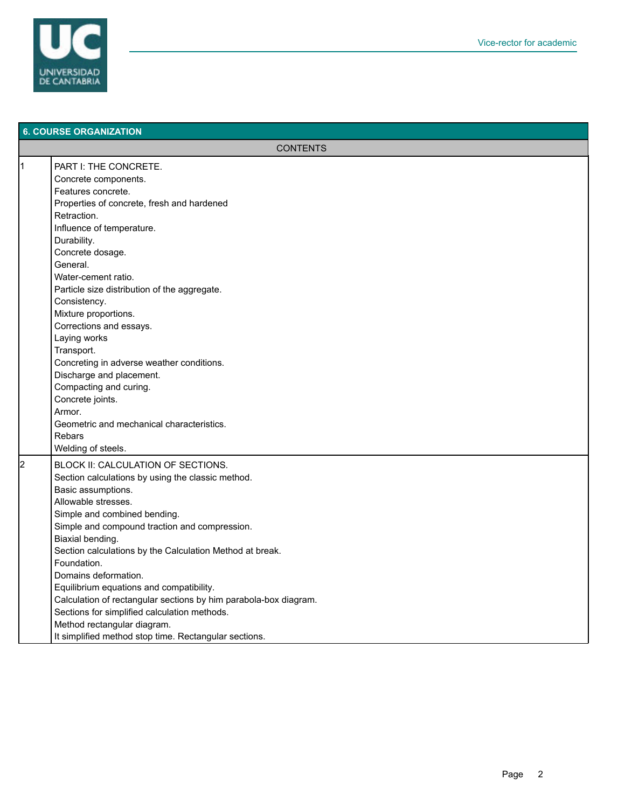

|   | <b>6. COURSE ORGANIZATION</b>                                                                                                                                                                                                                                                                                                                                                                                                                                                                                                                                                                        |  |  |
|---|------------------------------------------------------------------------------------------------------------------------------------------------------------------------------------------------------------------------------------------------------------------------------------------------------------------------------------------------------------------------------------------------------------------------------------------------------------------------------------------------------------------------------------------------------------------------------------------------------|--|--|
|   | <b>CONTENTS</b>                                                                                                                                                                                                                                                                                                                                                                                                                                                                                                                                                                                      |  |  |
| 1 | PART I: THE CONCRETE.<br>Concrete components.<br>Features concrete.<br>Properties of concrete, fresh and hardened<br>Retraction.<br>Influence of temperature.<br>Durability.<br>Concrete dosage.<br>General.<br>Water-cement ratio.<br>Particle size distribution of the aggregate.<br>Consistency.<br>Mixture proportions.<br>Corrections and essays.<br>Laying works<br>Transport.<br>Concreting in adverse weather conditions.<br>Discharge and placement.<br>Compacting and curing.<br>Concrete joints.                                                                                          |  |  |
|   | Armor.<br>Geometric and mechanical characteristics.<br>Rebars<br>Welding of steels.                                                                                                                                                                                                                                                                                                                                                                                                                                                                                                                  |  |  |
| 2 | BLOCK II: CALCULATION OF SECTIONS.<br>Section calculations by using the classic method.<br>Basic assumptions.<br>Allowable stresses.<br>Simple and combined bending.<br>Simple and compound traction and compression.<br>Biaxial bending.<br>Section calculations by the Calculation Method at break.<br>Foundation.<br>Domains deformation.<br>Equilibrium equations and compatibility.<br>Calculation of rectangular sections by him parabola-box diagram.<br>Sections for simplified calculation methods.<br>Method rectangular diagram.<br>It simplified method stop time. Rectangular sections. |  |  |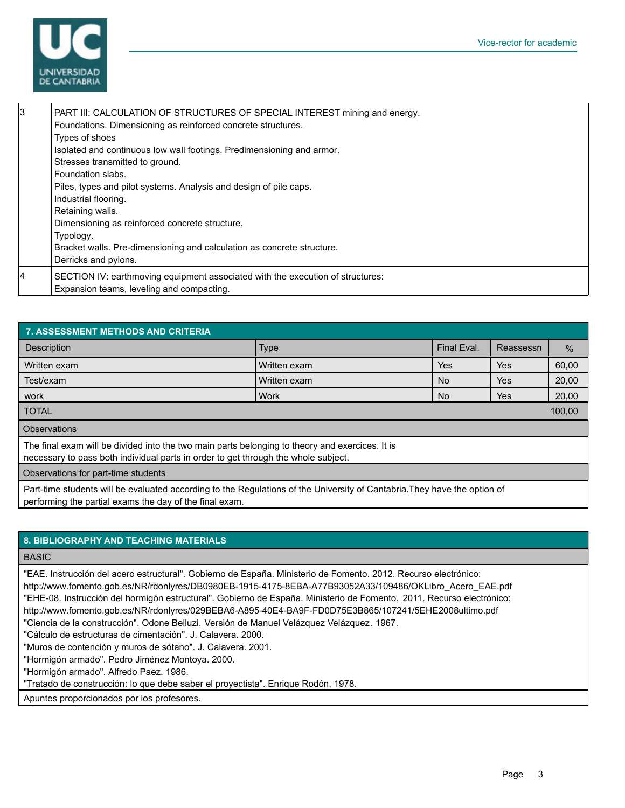

| 3 | PART III: CALCULATION OF STRUCTURES OF SPECIAL INTEREST mining and energy.<br>Foundations. Dimensioning as reinforced concrete structures.<br>Types of shoes<br>Isolated and continuous low wall footings. Predimensioning and armor.<br>Stresses transmitted to ground.<br>Foundation slabs.<br>Piles, types and pilot systems. Analysis and design of pile caps.<br>Industrial flooring.<br>Retaining walls.<br>Dimensioning as reinforced concrete structure.<br>Typology.<br>Bracket walls. Pre-dimensioning and calculation as concrete structure.<br>Derricks and pylons. |
|---|---------------------------------------------------------------------------------------------------------------------------------------------------------------------------------------------------------------------------------------------------------------------------------------------------------------------------------------------------------------------------------------------------------------------------------------------------------------------------------------------------------------------------------------------------------------------------------|
| 4 | SECTION IV: earthmoving equipment associated with the execution of structures:<br>Expansion teams, leveling and compacting.                                                                                                                                                                                                                                                                                                                                                                                                                                                     |

| 7. ASSESSMENT METHODS AND CRITERIA                                                                                                                                                    |              |             |           |       |
|---------------------------------------------------------------------------------------------------------------------------------------------------------------------------------------|--------------|-------------|-----------|-------|
| <b>Description</b>                                                                                                                                                                    | <b>Type</b>  | Final Eval. | Reassessn | $\%$  |
| Written exam                                                                                                                                                                          | Written exam | Yes         | Yes       | 60,00 |
| Test/exam                                                                                                                                                                             | Written exam | No.         | Yes       | 20,00 |
| work                                                                                                                                                                                  | l Work       | No          | Yes       | 20,00 |
| <b>TOTAL</b><br>100,00                                                                                                                                                                |              |             |           |       |
| Observations                                                                                                                                                                          |              |             |           |       |
| The final exam will be divided into the two main parts belonging to theory and exercices. It is<br>necessary to pass both individual parts in order to get through the whole subject. |              |             |           |       |
| Observations for part-time students                                                                                                                                                   |              |             |           |       |
| Part-time students will be evaluated according to the Regulations of the University of Cantabria They have the option of                                                              |              |             |           |       |

Part-time students will be evaluated according to the Regulations of the University of Cantabria.They have the option of performing the partial exams the day of the final exam.

| <b>8. BIBLIOGRAPHY AND TEACHING MATERIALS</b>                                                                                                                                                                                                                                                                                                                                                                                                                                                                                                                                                                                                                                                                                               |
|---------------------------------------------------------------------------------------------------------------------------------------------------------------------------------------------------------------------------------------------------------------------------------------------------------------------------------------------------------------------------------------------------------------------------------------------------------------------------------------------------------------------------------------------------------------------------------------------------------------------------------------------------------------------------------------------------------------------------------------------|
| <b>BASIC</b>                                                                                                                                                                                                                                                                                                                                                                                                                                                                                                                                                                                                                                                                                                                                |
| "EAE. Instrucción del acero estructural". Gobierno de España. Ministerio de Fomento. 2012. Recurso electrónico:<br>http://www.fomento.gob.es/NR/rdonlyres/DB0980EB-1915-4175-8EBA-A77B93052A33/109486/OKLibro Acero EAE.pdf<br>"EHE-08. Instrucción del hormigón estructural". Gobierno de España. Ministerio de Fomento. 2011. Recurso electrónico:<br>http://www.fomento.gob.es/NR/rdonlyres/029BEBA6-A895-40E4-BA9F-FD0D75E3B865/107241/5EHE2008ultimo.pdf<br>"Ciencia de la construcción". Odone Belluzi. Versión de Manuel Velázquez Velázquez. 1967.<br>"Cálculo de estructuras de cimentación". J. Calavera, 2000.<br>"Muros de contención y muros de sótano". J. Calavera. 2001.<br>"Hormigón armado". Pedro Jiménez Montoya. 2000. |
| "Hormigón armado". Alfredo Paez. 1986.<br>"Tratado de construcción: lo que debe saber el proyectista". Enrique Rodón. 1978.                                                                                                                                                                                                                                                                                                                                                                                                                                                                                                                                                                                                                 |

Apuntes proporcionados por los profesores.